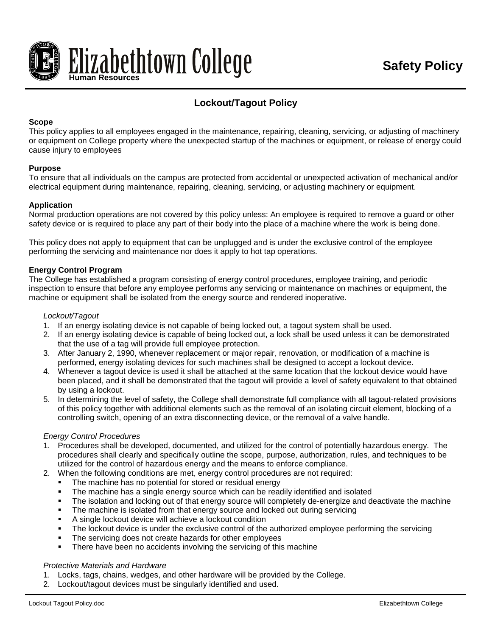

# **Lockout/Tagout Policy**

## **Scope**

This policy applies to all employees engaged in the maintenance, repairing, cleaning, servicing, or adjusting of machinery or equipment on College property where the unexpected startup of the machines or equipment, or release of energy could cause injury to employees

#### **Purpose**

To ensure that all individuals on the campus are protected from accidental or unexpected activation of mechanical and/or electrical equipment during maintenance, repairing, cleaning, servicing, or adjusting machinery or equipment.

## **Application**

Normal production operations are not covered by this policy unless: An employee is required to remove a guard or other safety device or is required to place any part of their body into the place of a machine where the work is being done.

This policy does not apply to equipment that can be unplugged and is under the exclusive control of the employee performing the servicing and maintenance nor does it apply to hot tap operations.

## **Energy Control Program**

The College has established a program consisting of energy control procedures, employee training, and periodic inspection to ensure that before any employee performs any servicing or maintenance on machines or equipment, the machine or equipment shall be isolated from the energy source and rendered inoperative.

## *Lockout/Tagout*

- 1. If an energy isolating device is not capable of being locked out, a tagout system shall be used.
- 2. If an energy isolating device is capable of being locked out, a lock shall be used unless it can be demonstrated that the use of a tag will provide full employee protection.
- 3. After January 2, 1990, whenever replacement or major repair, renovation, or modification of a machine is performed, energy isolating devices for such machines shall be designed to accept a lockout device.
- 4. Whenever a tagout device is used it shall be attached at the same location that the lockout device would have been placed, and it shall be demonstrated that the tagout will provide a level of safety equivalent to that obtained by using a lockout.
- 5. In determining the level of safety, the College shall demonstrate full compliance with all tagout-related provisions of this policy together with additional elements such as the removal of an isolating circuit element, blocking of a controlling switch, opening of an extra disconnecting device, or the removal of a valve handle.

#### *Energy Control Procedures*

- 1. Procedures shall be developed, documented, and utilized for the control of potentially hazardous energy. The procedures shall clearly and specifically outline the scope, purpose, authorization, rules, and techniques to be utilized for the control of hazardous energy and the means to enforce compliance.
- 2. When the following conditions are met, energy control procedures are not required:
	- The machine has no potential for stored or residual energy
	- **The machine has a single energy source which can be readily identified and isolated**
	- The isolation and locking out of that energy source will completely de-energize and deactivate the machine
	- The machine is isolated from that energy source and locked out during servicing
	- A single lockout device will achieve a lockout condition
	- The lockout device is under the exclusive control of the authorized employee performing the servicing
	- The servicing does not create hazards for other employees
	- There have been no accidents involving the servicing of this machine

#### *Protective Materials and Hardware*

- 1. Locks, tags, chains, wedges, and other hardware will be provided by the College.
- 2. Lockout/tagout devices must be singularly identified and used.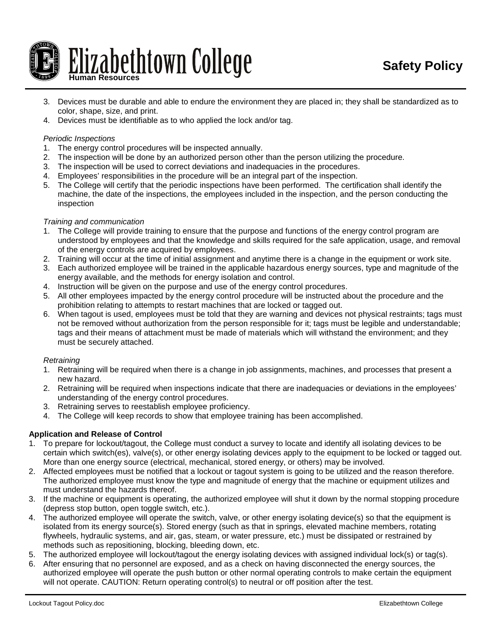

- 3. Devices must be durable and able to endure the environment they are placed in; they shall be standardized as to color, shape, size, and print.
- 4. Devices must be identifiable as to who applied the lock and/or tag.

#### *Periodic Inspections*

- 1. The energy control procedures will be inspected annually.
- 2. The inspection will be done by an authorized person other than the person utilizing the procedure.
- 3. The inspection will be used to correct deviations and inadequacies in the procedures.
- 4. Employees' responsibilities in the procedure will be an integral part of the inspection.
- 5. The College will certify that the periodic inspections have been performed. The certification shall identify the machine, the date of the inspections, the employees included in the inspection, and the person conducting the inspection

## *Training and communication*

- 1. The College will provide training to ensure that the purpose and functions of the energy control program are understood by employees and that the knowledge and skills required for the safe application, usage, and removal of the energy controls are acquired by employees.
- 2. Training will occur at the time of initial assignment and anytime there is a change in the equipment or work site.
- 3. Each authorized employee will be trained in the applicable hazardous energy sources, type and magnitude of the energy available, and the methods for energy isolation and control.
- 4. Instruction will be given on the purpose and use of the energy control procedures.
- 5. All other employees impacted by the energy control procedure will be instructed about the procedure and the prohibition relating to attempts to restart machines that are locked or tagged out.
- 6. When tagout is used, employees must be told that they are warning and devices not physical restraints; tags must not be removed without authorization from the person responsible for it; tags must be legible and understandable; tags and their means of attachment must be made of materials which will withstand the environment; and they must be securely attached.

#### *Retraining*

- 1. Retraining will be required when there is a change in job assignments, machines, and processes that present a new hazard.
- 2. Retraining will be required when inspections indicate that there are inadequacies or deviations in the employees' understanding of the energy control procedures.
- 3. Retraining serves to reestablish employee proficiency.
- 4. The College will keep records to show that employee training has been accomplished.

# **Application and Release of Control**

- 1. To prepare for lockout/tagout, the College must conduct a survey to locate and identify all isolating devices to be certain which switch(es), valve(s), or other energy isolating devices apply to the equipment to be locked or tagged out. More than one energy source (electrical, mechanical, stored energy, or others) may be involved.
- 2. Affected employees must be notified that a lockout or tagout system is going to be utilized and the reason therefore. The authorized employee must know the type and magnitude of energy that the machine or equipment utilizes and must understand the hazards thereof.
- 3. If the machine or equipment is operating, the authorized employee will shut it down by the normal stopping procedure (depress stop button, open toggle switch, etc.).
- 4. The authorized employee will operate the switch, valve, or other energy isolating device(s) so that the equipment is isolated from its energy source(s). Stored energy (such as that in springs, elevated machine members, rotating flywheels, hydraulic systems, and air, gas, steam, or water pressure, etc.) must be dissipated or restrained by methods such as repositioning, blocking, bleeding down, etc.
- 5. The authorized employee will lockout/tagout the energy isolating devices with assigned individual lock(s) or tag(s).
- 6. After ensuring that no personnel are exposed, and as a check on having disconnected the energy sources, the authorized employee will operate the push button or other normal operating controls to make certain the equipment will not operate. CAUTION: Return operating control(s) to neutral or off position after the test.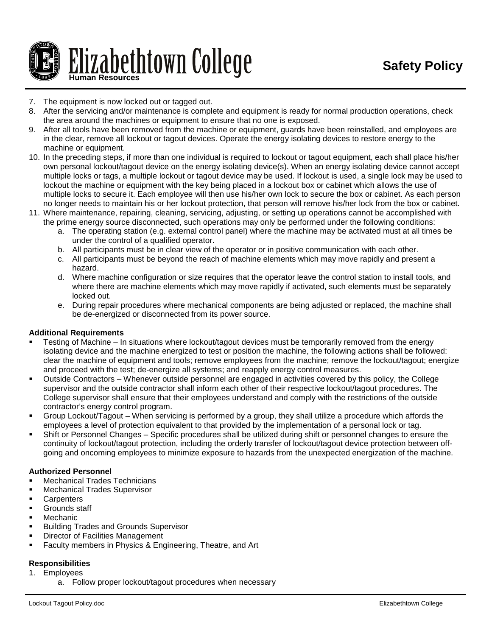

- 7. The equipment is now locked out or tagged out.
- 8. After the servicing and/or maintenance is complete and equipment is ready for normal production operations, check the area around the machines or equipment to ensure that no one is exposed.
- 9. After all tools have been removed from the machine or equipment, guards have been reinstalled, and employees are in the clear, remove all lockout or tagout devices. Operate the energy isolating devices to restore energy to the machine or equipment.
- 10. In the preceding steps, if more than one individual is required to lockout or tagout equipment, each shall place his/her own personal lockout/tagout device on the energy isolating device(s). When an energy isolating device cannot accept multiple locks or tags, a multiple lockout or tagout device may be used. If lockout is used, a single lock may be used to lockout the machine or equipment with the key being placed in a lockout box or cabinet which allows the use of multiple locks to secure it. Each employee will then use his/her own lock to secure the box or cabinet. As each person no longer needs to maintain his or her lockout protection, that person will remove his/her lock from the box or cabinet.
- 11. Where maintenance, repairing, cleaning, servicing, adjusting, or setting up operations cannot be accomplished with the prime energy source disconnected, such operations may only be performed under the following conditions:
	- a. The operating station (e.g. external control panel) where the machine may be activated must at all times be under the control of a qualified operator.
	- b. All participants must be in clear view of the operator or in positive communication with each other.
	- c. All participants must be beyond the reach of machine elements which may move rapidly and present a hazard.
	- d. Where machine configuration or size requires that the operator leave the control station to install tools, and where there are machine elements which may move rapidly if activated, such elements must be separately locked out.
	- e. During repair procedures where mechanical components are being adjusted or replaced, the machine shall be de-energized or disconnected from its power source.

# **Additional Requirements**

- Testing of Machine In situations where lockout/tagout devices must be temporarily removed from the energy isolating device and the machine energized to test or position the machine, the following actions shall be followed: clear the machine of equipment and tools; remove employees from the machine; remove the lockout/tagout; energize and proceed with the test; de-energize all systems; and reapply energy control measures.
- Outside Contractors Whenever outside personnel are engaged in activities covered by this policy, the College supervisor and the outside contractor shall inform each other of their respective lockout/tagout procedures. The College supervisor shall ensure that their employees understand and comply with the restrictions of the outside contractor's energy control program.
- Group Lockout/Tagout When servicing is performed by a group, they shall utilize a procedure which affords the employees a level of protection equivalent to that provided by the implementation of a personal lock or tag.
- Shift or Personnel Changes Specific procedures shall be utilized during shift or personnel changes to ensure the continuity of lockout/tagout protection, including the orderly transfer of lockout/tagout device protection between offgoing and oncoming employees to minimize exposure to hazards from the unexpected energization of the machine.

# **Authorized Personnel**

- **Mechanical Trades Technicians**
- Mechanical Trades Supervisor
- **Carpenters**
- Grounds staff
- Mechanic
- Building Trades and Grounds Supervisor
- Director of Facilities Management
- Faculty members in Physics & Engineering, Theatre, and Art

# **Responsibilities**

- 1. Employees
	- a. Follow proper lockout/tagout procedures when necessary